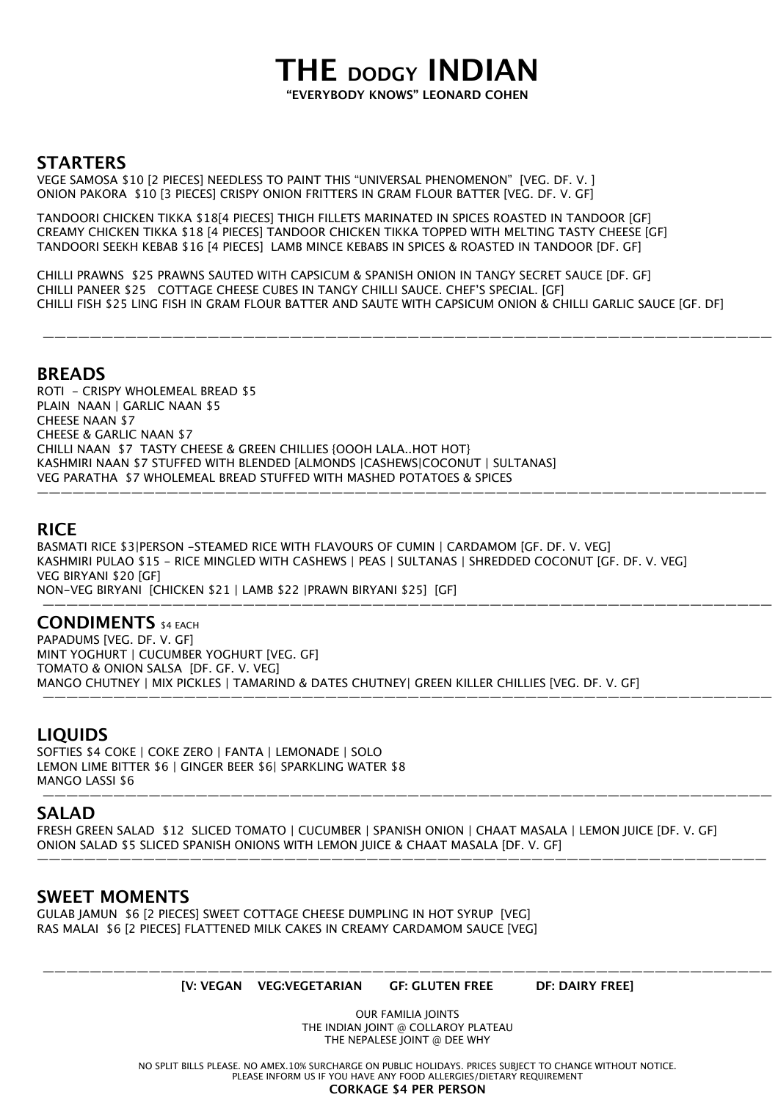## **THE DODGY INDIAN "EVERYBODY KNOWS" LEONARD COHEN**

### **STARTERS**

VEGE SAMOSA \$10 [2 PIECES] NEEDLESS TO PAINT THIS "UNIVERSAL PHENOMENON" [VEG. DF. V. ] ONION PAKORA \$10 [3 PIECES] CRISPY ONION FRITTERS IN GRAM FLOUR BATTER [VEG. DF. V. GF]

TANDOORI CHICKEN TIKKA \$18[4 PIECES] THIGH FILLETS MARINATED IN SPICES ROASTED IN TANDOOR [GF] CREAMY CHICKEN TIKKA \$18 [4 PIECES] TANDOOR CHICKEN TIKKA TOPPED WITH MELTING TASTY CHEESE [GF] TANDOORI SEEKH KEBAB \$16 [4 PIECES] LAMB MINCE KEBABS IN SPICES & ROASTED IN TANDOOR [DF. GF]

CHILLI PRAWNS \$25 PRAWNS SAUTED WITH CAPSICUM & SPANISH ONION IN TANGY SECRET SAUCE [DF. GF] CHILLI PANEER \$25 COTTAGE CHEESE CUBES IN TANGY CHILLI SAUCE. CHEF'S SPECIAL. [GF] CHILLI FISH \$25 LING FISH IN GRAM FLOUR BATTER AND SAUTE WITH CAPSICUM ONION & CHILLI GARLIC SAUCE [GF. DF]

——————————————————————————————————————————————————————————————

### **BREADS**

ROTI - CRISPY WHOLEMEAL BREAD \$5 PLAIN NAAN | GARLIC NAAN \$5 CHEESE NAAN \$7 CHEESE & GARLIC NAAN \$7 CHILLI NAAN \$7 TASTY CHEESE & GREEN CHILLIES {OOOH LALA..HOT HOT} KASHMIRI NAAN \$7 STUFFED WITH BLENDED [ALMONDS |CASHEWS|COCONUT | SULTANAS] VEG PARATHA \$7 WHOLEMEAL BREAD STUFFED WITH MASHED POTATOES & SPICES ——————————————————————————————————————————————————————————————

### **RICE**

BASMATI RICE \$3|PERSON -STEAMED RICE WITH FLAVOURS OF CUMIN | CARDAMOM [GF. DF. V. VEG] KASHMIRI PULAO \$15 - RICE MINGLED WITH CASHEWS | PEAS | SULTANAS | SHREDDED COCONUT [GF. DF. V. VEG] VEG BIRYANI \$20 [GF] NON-VEG BIRYANI [CHICKEN \$21 | LAMB \$22 |PRAWN BIRYANI \$25] [GF]

——————————————————————————————————————————————————————————————

### **CONDIMENTS** \$4 EACH

PAPADUMS [VEG. DF. V. GF] MINT YOGHURT | CUCUMBER YOGHURT [VEG. GF] TOMATO & ONION SALSA [DF. GF. V. VEG] MANGO CHUTNEY | MIX PICKLES | TAMARIND & DATES CHUTNEY| GREEN KILLER CHILLIES [VEG. DF. V. GF] ——————————————————————————————————————————————————————————————

### **LIQUIDS**

SOFTIES \$4 COKE | COKE ZERO | FANTA | LEMONADE | SOLO LEMON LIME BITTER \$6 | GINGER BEER \$6| SPARKLING WATER \$8 MANGO LASSI \$6 ——————————————————————————————————————————————————————————————

### **SALAD**

FRESH GREEN SALAD \$12 SLICED TOMATO | CUCUMBER | SPANISH ONION | CHAAT MASALA | LEMON JUICE [DF. V. GF] ONION SALAD \$5 SLICED SPANISH ONIONS WITH LEMON JUICE & CHAAT MASALA [DF. V. GF]

——————————————————————————————————————————————————————————————

### **SWEET MOMENTS**

GULAB JAMUN \$6 [2 PIECES] SWEET COTTAGE CHEESE DUMPLING IN HOT SYRUP [VEG] RAS MALAI \$6 [2 PIECES] FLATTENED MILK CAKES IN CREAMY CARDAMOM SAUCE [VEG]

—————————————————————————————————————————————————————————————— **[V: VEGAN VEG:VEGETARIAN GF: GLUTEN FREE DF: DAIRY FREE]** 

> OUR FAMILIA JOINTS THE INDIAN JOINT @ COLLAROY PLATEAU THE NEPALESE JOINT @ DEE WHY

NO SPLIT BILLS PLEASE. NO AMEX.10% SURCHARGE ON PUBLIC HOLIDAYS. PRICES SUBJECT TO CHANGE WITHOUT NOTICE. PLEASE INFORM US IF YOU HAVE ANY FOOD ALLERGIES/DIETARY REQUIREMENT **CORKAGE \$4 PER PERSON**